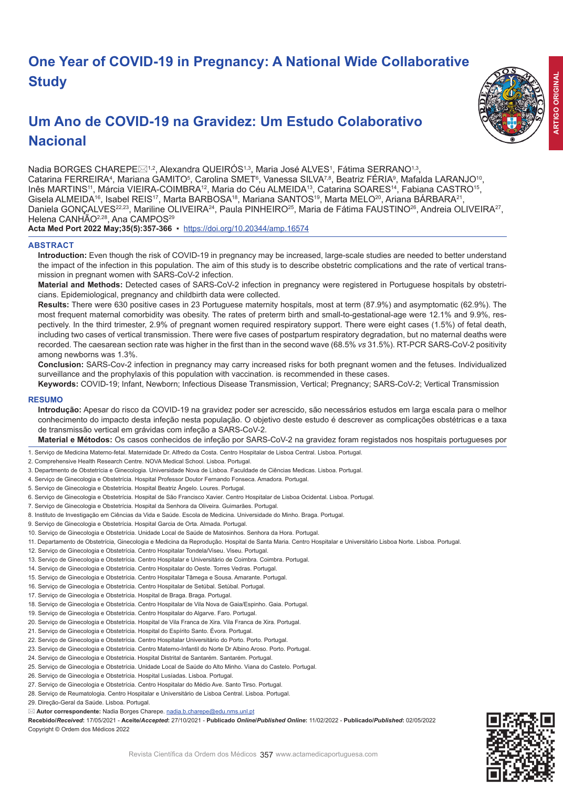# **One Year of COVID-19 in Pregnancy: A National Wide Collaborative Study**

# **Um Ano de COVID-19 na Gravidez: Um Estudo Colaborativo Nacional**



Nadia BORGES CHAREPE $\boxtimes^{1,2}$ , Alexandra QUEIROS $^{1,3}$ , Maria José ALVES $^1$ , Fátima SERRANO $^{1,3}$ , Catarina FERREIRA<sup>4</sup>, Mariana GAMITO<sup>5</sup>, Carolina SMET<sup>s</sup>, Vanessa SILVA<sup>7,8</sup>, Beatriz FERIA<sup>9</sup>, Mafalda LARANJO<sup>10</sup>, Inês MARTINS11, Márcia VIEIRA-COIMBRA12, Maria do Céu ALMEIDA13, Catarina SOARES14, Fabiana CASTRO15, Gisela ALMEIDA<sup>16</sup>, Isabel REIS<sup>17</sup>, Marta BARBOSA<sup>18</sup>, Mariana SANTOS<sup>19</sup>, Marta MELO<sup>20</sup>, Ariana BARBARA<sup>21</sup>, Daniela GONÇALVES<sup>22,23</sup>, Mariline OLIVEIRA<sup>24</sup>, Paula PINHEIRO<sup>25</sup>, Maria de Fátima FAUSTINO<sup>26</sup>, Andreia OLIVEIRA<sup>27</sup>, Helena CANHÃO<sup>2,28</sup>, Ana CAMPOS<sup>29</sup>

**Acta Med Port 2022 May;35(5):357-366** ▪https://doi.org/10.20344/amp.16574

# **ABSTRACT**

**Introduction:** Even though the risk of COVID-19 in pregnancy may be increased, large-scale studies are needed to better understand the impact of the infection in this population. The aim of this study is to describe obstetric complications and the rate of vertical transmission in pregnant women with SARS-CoV-2 infection.

**Material and Methods:** Detected cases of SARS-CoV-2 infection in pregnancy were registered in Portuguese hospitals by obstetricians. Epidemiological, pregnancy and childbirth data were collected.

**Results:** There were 630 positive cases in 23 Portuguese maternity hospitals, most at term (87.9%) and asymptomatic (62.9%). The most frequent maternal comorbidity was obesity. The rates of preterm birth and small-to-gestational-age were 12.1% and 9.9%, respectively. In the third trimester, 2.9% of pregnant women required respiratory support. There were eight cases (1.5%) of fetal death, including two cases of vertical transmission. There were five cases of postpartum respiratory degradation, but no maternal deaths were recorded. The caesarean section rate was higher in the first than in the second wave (68.5% *vs* 31.5%). RT-PCR SARS-CoV-2 positivity among newborns was 1.3%.

**Conclusion:** SARS-Cov-2 infection in pregnancy may carry increased risks for both pregnant women and the fetuses. Individualized surveillance and the prophylaxis of this population with vaccination. is recommended in these cases.

**Keywords:** COVID-19; Infant, Newborn; Infectious Disease Transmission, Vertical; Pregnancy; SARS-CoV-2; Vertical Transmission

## **RESUMO**

**Introdução:** Apesar do risco da COVID-19 na gravidez poder ser acrescido, são necessários estudos em larga escala para o melhor conhecimento do impacto desta infeção nesta população. O objetivo deste estudo é descrever as complicações obstétricas e a taxa de transmissão vertical em grávidas com infeção a SARS-CoV-2.

**Material e Métodos:** Os casos conhecidos de infeção por SARS-CoV-2 na gravidez foram registados nos hospitais portugueses por

- 1. Serviço de Medicina Materno-fetal. Maternidade Dr. Alfredo da Costa. Centro Hospitalar de Lisboa Central. Lisboa. Portugal.
- 2. Comprehensive Health Research Centre. NOVA Medical School. Lisboa. Portugal.
- 3. Departmento de Obstetrícia e Ginecologia. Universidade Nova de Lisboa. Faculdade de Ciências Medicas. Lisboa. Portugal.
- 4. Serviço de Ginecologia e Obstetrícia. Hospital Professor Doutor Fernando Fonseca. Amadora. Portugal.
- 5. Serviço de Ginecologia e Obstetrícia. Hospital Beatriz Ângelo. Loures. Portugal.
- 6. Serviço de Ginecologia e Obstetrícia. Hospital de São Francisco Xavier. Centro Hospitalar de Lisboa Ocidental. Lisboa. Portugal.
- 7. Serviço de Ginecologia e Obstetrícia. Hospital da Senhora da Oliveira. Guimarães. Portugal.
- 8. Instituto de Investigação em Ciências da Vida e Saúde. Escola de Medicina. Universidade do Minho. Braga. Portugal.
- 9. Serviço de Ginecologia e Obstetrícia. Hospital Garcia de Orta. Almada. Portugal.
- 10. Serviço de Ginecologia e Obstetrícia. Unidade Local de Saúde de Matosinhos. Senhora da Hora. Portugal.
- 11. Departamento de Obstetrícia, Ginecologia e Medicina da Reprodução. Hospital de Santa Maria. Centro Hospitalar e Universitário Lisboa Norte. Lisboa. Portugal.
- 12. Serviço de Ginecologia e Obstetrícia. Centro Hospitalar Tondela/Viseu. Viseu. Portugal.
- 13. Serviço de Ginecologia e Obstetrícia. Centro Hospitalar e Universitário de Coimbra. Coimbra. Portugal.
- 14. Serviço de Ginecologia e Obstetrícia. Centro Hospitalar do Oeste. Torres Vedras. Portugal.
- 15. Serviço de Ginecologia e Obstetrícia. Centro Hospitalar Tâmega e Sousa. Amarante. Portugal.
- 16. Serviço de Ginecologia e Obstetrícia. Centro Hospitalar de Setúbal. Setúbal. Portugal.
- 17. Serviço de Ginecologia e Obstetrícia. Hospital de Braga. Braga. Portugal.
- 18. Serviço de Ginecologia e Obstetrícia. Centro Hospitalar de Vila Nova de Gaia/Espinho. Gaia. Portugal.
- 19. Serviço de Ginecologia e Obstetrícia. Centro Hospitalar do Algarve. Faro. Portugal.
- 20. Serviço de Ginecologia e Obstetrícia. Hospital de Vila Franca de Xira. Vila Franca de Xira. Portugal.
- 21. Serviço de Ginecologia e Obstetrícia. Hospital do Espírito Santo. Évora. Portugal.
- 22. Serviço de Ginecologia e Obstetrícia. Centro Hospitalar Universitário do Porto. Porto. Portugal.
- 23. Serviço de Ginecologia e Obstetrícia. Centro Materno-Infantil do Norte Dr Albino Aroso. Porto. Portugal.
- 24. Serviço de Ginecologia e Obstetricia. Hospital Distrital de Santarém. Santarém. Portugal
- 25. Serviço de Ginecologia e Obstetrícia. Unidade Local de Saúde do Alto Minho. Viana do Castelo. Portugal.
- 26. Serviço de Ginecologia e Obstetrícia. Hospital Lusíadas. Lisboa. Portugal.
- 27. Serviço de Ginecologia e Obstetrícia. Centro Hospitalar do Médio Ave. Santo Tirso. Portugal.
- 28. Serviço de Reumatologia. Centro Hospitalar e Universitário de Lisboa Central. Lisboa. Portugal.
- 29. Direção-Geral da Saúde. Lisboa. Portugal.
- **Autor correspondente:** Nadia Borges Charepe. nadia.b.charepe@edu.nms.unl.pt

Recebido/Received: 17/05/2021 - Aceite/Accepted: 27/10/2021 - Publicado Online/Published Online: 11/02/2022 - Publicado/Published: 02/05/2022 Copyright © Ordem dos Médicos 2022

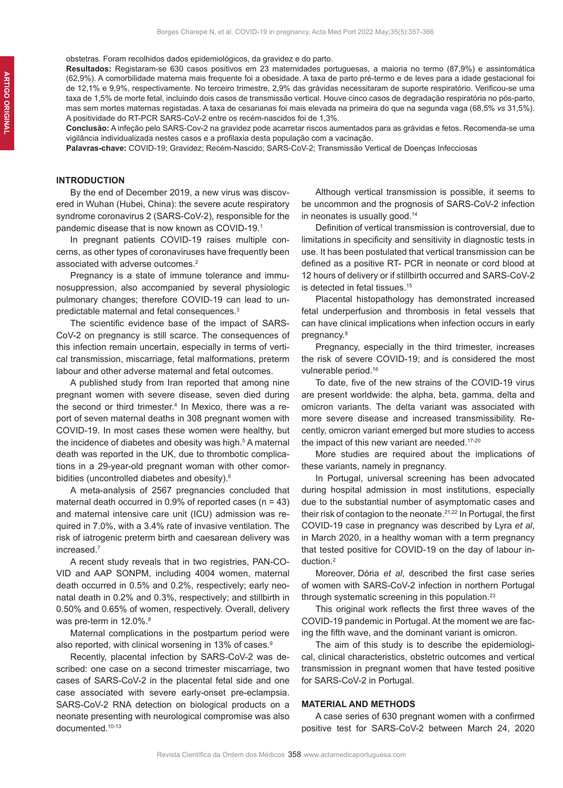obstetras. Foram recolhidos dados epidemiológicos, da gravidez e do parto.

**Resultados:** Registaram-se 630 casos positivos em 23 maternidades portuguesas, a maioria no termo (87,9%) e assintomática (62,9%). A comorbilidade materna mais frequente foi a obesidade. A taxa de parto pré-termo e de leves para a idade gestacional foi de 12,1% e 9,9%, respectivamente. No terceiro trimestre, 2,9% das grávidas necessitaram de suporte respiratório. Verificou-se uma taxa de 1,5% de morte fetal, incluindo dois casos de transmissão vertical. Houve cinco casos de degradação respiratória no pós-parto, mas sem mortes maternas registadas. A taxa de cesarianas foi mais elevada na primeira do que na segunda vaga (68,5% *vs* 31,5%). A positividade do RT-PCR SARS-CoV-2 entre os recém-nascidos foi de 1,3%.

**Conclusão:** A infeção pelo SARS-Cov-2 na gravidez pode acarretar riscos aumentados para as grávidas e fetos. Recomenda-se uma vigilância individualizada nestes casos e a profilaxia desta população com a vacinação.

**Palavras-chave:** COVID-19; Gravidez; Recém-Nascido; SARS-CoV-2; Transmissão Vertical de Doenças Infecciosas

## **INTRODUCTION**

By the end of December 2019, a new virus was discovered in Wuhan (Hubei, China): the severe acute respiratory syndrome coronavirus 2 (SARS-CoV-2), responsible for the pandemic disease that is now known as COVID-19.1

In pregnant patients COVID-19 raises multiple concerns, as other types of coronaviruses have frequently been associated with adverse outcomes.2

Pregnancy is a state of immune tolerance and immunosuppression, also accompanied by several physiologic pulmonary changes; therefore COVID-19 can lead to unpredictable maternal and fetal consequences.<sup>3</sup>

The scientific evidence base of the impact of SARS-CoV-2 on pregnancy is still scarce. The consequences of this infection remain uncertain, especially in terms of vertical transmission, miscarriage, fetal malformations, preterm labour and other adverse maternal and fetal outcomes.

A published study from Iran reported that among nine pregnant women with severe disease, seven died during the second or third trimester.<sup>4</sup> In Mexico, there was a report of seven maternal deaths in 308 pregnant women with COVID-19. In most cases these women were healthy, but the incidence of diabetes and obesity was high.<sup>5</sup> A maternal death was reported in the UK, due to thrombotic complications in a 29-year-old pregnant woman with other comorbidities (uncontrolled diabetes and obesity).<sup>6</sup>

A meta-analysis of 2567 pregnancies concluded that maternal death occurred in  $0.9\%$  of reported cases (n = 43) and maternal intensive care unit (ICU) admission was required in 7.0%, with a 3.4% rate of invasive ventilation. The risk of iatrogenic preterm birth and caesarean delivery was increased.<sup>7</sup>

A recent study reveals that in two registries, PAN-CO-VID and AAP SONPM, including 4004 women, maternal death occurred in 0.5% and 0.2%, respectively; early neonatal death in 0.2% and 0.3%, respectively; and stillbirth in 0.50% and 0.65% of women, respectively. Overall, delivery was pre-term in 12.0%.<sup>8</sup>

Maternal complications in the postpartum period were also reported, with clinical worsening in 13% of cases.<sup>9</sup>

Recently, placental infection by SARS-CoV-2 was described: one case on a second trimester miscarriage, two cases of SARS-CoV-2 in the placental fetal side and one case associated with severe early-onset pre-eclampsia. SARS-CoV-2 RNA detection on biological products on a neonate presenting with neurological compromise was also documented.10-13

Although vertical transmission is possible, it seems to be uncommon and the prognosis of SARS-CoV-2 infection in neonates is usually good.<sup>14</sup>

Definition of vertical transmission is controversial, due to limitations in specificity and sensitivity in diagnostic tests in use. It has been postulated that vertical transmission can be defined as a positive RT- PCR in neonate or cord blood at 12 hours of delivery or if stillbirth occurred and SARS-CoV-2 is detected in fetal tissues.<sup>15</sup>

Placental histopathology has demonstrated increased fetal underperfusion and thrombosis in fetal vessels that can have clinical implications when infection occurs in early pregnancy.<sup>8</sup>

Pregnancy, especially in the third trimester, increases the risk of severe COVID-19; and is considered the most vulnerable period.16

To date, five of the new strains of the COVID-19 virus are present worldwide: the alpha, beta, gamma, delta and omicron variants. The delta variant was associated with more severe disease and increased transmissibility. Recently, omicron variant emerged but more studies to access the impact of this new variant are needed.<sup>17-20</sup>

More studies are required about the implications of these variants, namely in pregnancy.

In Portugal, universal screening has been advocated during hospital admission in most institutions, especially due to the substantial number of asymptomatic cases and their risk of contagion to the neonate.<sup>21,22</sup> In Portugal, the first COVID-19 case in pregnancy was described by Lyra *et al*, in March 2020, in a healthy woman with a term pregnancy that tested positive for COVID-19 on the day of labour induction.2

Moreover, Dória *et al*, described the first case series of women with SARS-CoV-2 infection in northern Portugal through systematic screening in this population.<sup>23</sup>

This original work reflects the first three waves of the COVID-19 pandemic in Portugal. At the moment we are facing the fifth wave, and the dominant variant is omicron.

The aim of this study is to describe the epidemiological, clinical characteristics, obstetric outcomes and vertical transmission in pregnant women that have tested positive for SARS-CoV-2 in Portugal.

## **MATERIAL AND METHODS**

A case series of 630 pregnant women with a confirmed positive test for SARS-CoV-2 between March 24, 2020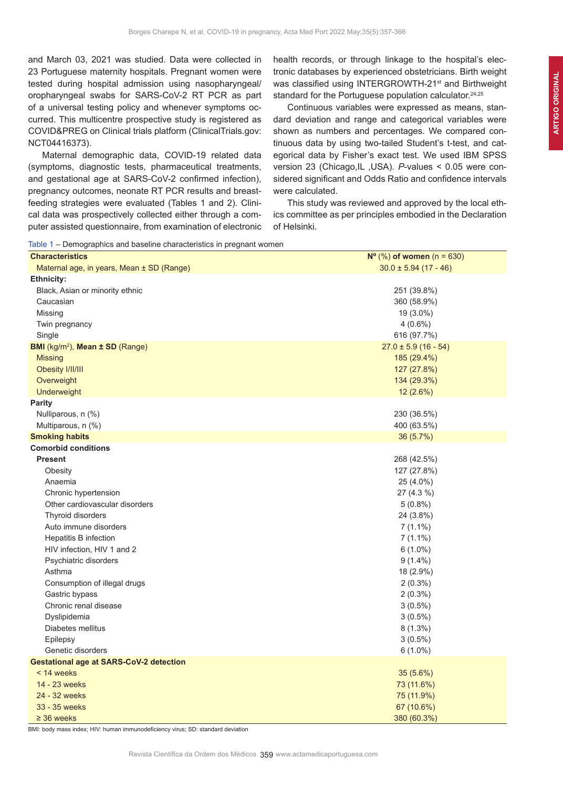and March 03, 2021 was studied. Data were collected in 23 Portuguese maternity hospitals. Pregnant women were tested during hospital admission using nasopharyngeal/ oropharyngeal swabs for SARS-CoV-2 RT PCR as part of a universal testing policy and whenever symptoms occurred. This multicentre prospective study is registered as COVID&PREG on Clinical trials platform (ClinicalTrials.gov: NCT04416373).

Maternal demographic data, COVID-19 related data (symptoms, diagnostic tests, pharmaceutical treatments, and gestational age at SARS-CoV-2 confirmed infection), pregnancy outcomes, neonate RT PCR results and breastfeeding strategies were evaluated (Tables 1 and 2). Clinical data was prospectively collected either through a computer assisted questionnaire, from examination of electronic health records, or through linkage to the hospital's electronic databases by experienced obstetricians. Birth weight was classified using INTERGROWTH-21<sup>st</sup> and Birthweight standard for the Portuguese population calculator.<sup>24,25</sup>

Continuous variables were expressed as means, standard deviation and range and categorical variables were shown as numbers and percentages. We compared continuous data by using two-tailed Student's t-test, and categorical data by Fisher's exact test. We used IBM SPSS version 23 (Chicago,IL ,USA). *P*-values < 0.05 were considered significant and Odds Ratio and confidence intervals were calculated.

This study was reviewed and approved by the local ethics committee as per principles embodied in the Declaration of Helsinki.

Table 1 – Demographics and baseline characteristics in pregnant women

| <b>Characteristics</b>                         | $N^{\circ}$ (%) of women (n = 630) |
|------------------------------------------------|------------------------------------|
| Maternal age, in years, Mean ± SD (Range)      | $30.0 \pm 5.94$ (17 - 46)          |
| <b>Ethnicity:</b>                              |                                    |
| Black, Asian or minority ethnic                | 251 (39.8%)                        |
| Caucasian                                      | 360 (58.9%)                        |
| Missing                                        | $19(3.0\%)$                        |
| Twin pregnancy                                 | $4(0.6\%)$                         |
| Single                                         | 616 (97.7%)                        |
| BMI (kg/m <sup>2</sup> ), Mean ± SD (Range)    | $27.0 \pm 5.9$ (16 - 54)           |
| <b>Missing</b>                                 | 185 (29.4%)                        |
| Obesity I/II/III                               | 127 (27.8%)                        |
| Overweight                                     | 134 (29.3%)                        |
| Underweight                                    | $12(2.6\%)$                        |
| Parity                                         |                                    |
| Nulliparous, n (%)                             | 230 (36.5%)                        |
| Multiparous, n (%)                             | 400 (63.5%)                        |
| <b>Smoking habits</b>                          | 36 (5.7%)                          |
| <b>Comorbid conditions</b>                     |                                    |
| <b>Present</b>                                 | 268 (42.5%)                        |
| Obesity                                        | 127 (27.8%)                        |
| Anaemia                                        | 25 (4.0%)                          |
| Chronic hypertension                           | $27(4.3\%)$                        |
| Other cardiovascular disorders                 | $5(0.8\%)$                         |
| Thyroid disorders                              | 24 (3.8%)                          |
| Auto immune disorders                          | $7(1.1\%)$                         |
| Hepatitis B infection                          | $7(1.1\%)$                         |
| HIV infection, HIV 1 and 2                     | $6(1.0\%)$                         |
| Psychiatric disorders                          | $9(1.4\%)$                         |
| Asthma                                         | 18 (2.9%)                          |
| Consumption of illegal drugs                   | $2(0.3\%)$                         |
| Gastric bypass                                 | $2(0.3\%)$                         |
| Chronic renal disease                          | $3(0.5\%)$                         |
| Dyslipidemia                                   | $3(0.5\%)$                         |
| Diabetes mellitus                              | $8(1.3\%)$                         |
| Epilepsy                                       | $3(0.5\%)$                         |
| Genetic disorders                              | $6(1.0\%)$                         |
| <b>Gestational age at SARS-CoV-2 detection</b> |                                    |
| < 14 weeks                                     | 35(5.6%)                           |
| 14 - 23 weeks                                  | 73 (11.6%)                         |
| 24 - 32 weeks                                  | 75 (11.9%)                         |
| 33 - 35 weeks                                  | 67 (10.6%)                         |
| $\geq$ 36 weeks                                | 380 (60.3%)                        |

BMI: body mass index; HIV: human immunodeficiency virus; SD: standard deviation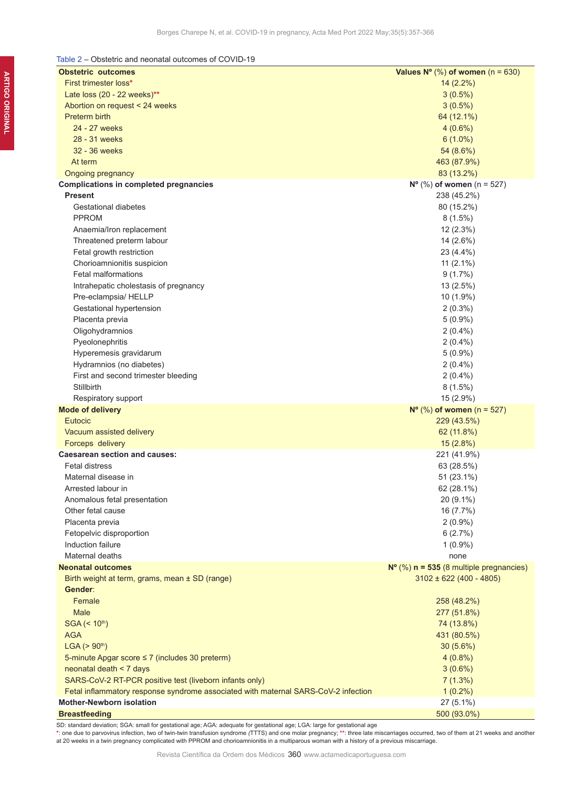# Table 2 – Obstetric and neonatal outcomes of COVID-19

| <b>Obstetric outcomes</b>                                                          | Values $N^{\circ}$ (%) of women (n = 630)          |
|------------------------------------------------------------------------------------|----------------------------------------------------|
| First trimester loss*                                                              | $14(2.2\%)$                                        |
| Late loss (20 - 22 weeks)**                                                        | $3(0.5\%)$                                         |
| Abortion on request < 24 weeks                                                     | $3(0.5\%)$                                         |
| Preterm birth                                                                      | 64 (12.1%)                                         |
| 24 - 27 weeks                                                                      | $4(0.6\%)$                                         |
| 28 - 31 weeks                                                                      | $6(1.0\%)$                                         |
| 32 - 36 weeks                                                                      | 54 (8.6%)                                          |
| At term                                                                            | 463 (87.9%)                                        |
| Ongoing pregnancy                                                                  | 83 (13.2%)                                         |
| <b>Complications in completed pregnancies</b>                                      | $N^{\circ}$ (%) of women (n = 527)                 |
| <b>Present</b>                                                                     | 238 (45.2%)                                        |
| Gestational diabetes                                                               | 80 (15.2%)                                         |
| <b>PPROM</b>                                                                       | $8(1.5\%)$                                         |
| Anaemia/Iron replacement                                                           | 12(2.3%)                                           |
| Threatened preterm labour                                                          | 14 (2.6%)                                          |
| Fetal growth restriction                                                           | 23 (4.4%)                                          |
| Chorioamnionitis suspicion                                                         | 11 $(2.1\%)$                                       |
| <b>Fetal malformations</b>                                                         | $9(1.7\%)$                                         |
| Intrahepatic cholestasis of pregnancy                                              | 13(2.5%)                                           |
| Pre-eclampsia/ HELLP                                                               | 10 (1.9%)                                          |
| Gestational hypertension                                                           | $2(0.3\%)$                                         |
| Placenta previa                                                                    | $5(0.9\%)$                                         |
| Oligohydramnios                                                                    | $2(0.4\%)$                                         |
| Pyeolonephritis                                                                    | $2(0.4\%)$                                         |
| Hyperemesis gravidarum                                                             | $5(0.9\%)$                                         |
| Hydramnios (no diabetes)                                                           | $2(0.4\%)$                                         |
| First and second trimester bleeding                                                | $2(0.4\%)$                                         |
| Stillbirth                                                                         | $8(1.5\%)$                                         |
| Respiratory support                                                                | 15 (2.9%)                                          |
| <b>Mode of delivery</b>                                                            | $N^{\circ}$ (%) of women (n = 527)                 |
| Eutocic                                                                            | 229 (43.5%)                                        |
| Vacuum assisted delivery                                                           | 62 (11.8%)                                         |
| Forceps delivery                                                                   | 15(2.8%)                                           |
| <b>Caesarean section and causes:</b>                                               | 221 (41.9%)                                        |
| <b>Fetal distress</b>                                                              | 63 (28.5%)                                         |
| Maternal disease in                                                                | 51 (23.1%)                                         |
| Arrested labour in                                                                 | 62 (28.1%)                                         |
| Anomalous fetal presentation                                                       | 20 (9.1%)                                          |
| Other fetal cause                                                                  | 16 (7.7%)                                          |
| Placenta previa                                                                    | $2(0.9\%)$                                         |
| Fetopelvic disproportion                                                           | 6(2.7%)                                            |
| Induction failure                                                                  | $1(0.9\%)$                                         |
| Maternal deaths                                                                    | none                                               |
| <b>Neonatal outcomes</b>                                                           | $N^{\circ}$ (%) $n = 535$ (8 multiple pregnancies) |
| Birth weight at term, grams, mean ± SD (range)                                     | $3102 \pm 622 (400 - 4805)$                        |
| Gender:                                                                            |                                                    |
| Female                                                                             | 258 (48.2%)                                        |
| Male                                                                               | 277 (51.8%)                                        |
| SGA (< 10 <sup>th</sup> )                                                          | 74 (13.8%)                                         |
| <b>AGA</b>                                                                         | 431 (80.5%)                                        |
| LGA (> 90 <sup>th</sup> )                                                          | 30(5.6%)                                           |
| 5-minute Apgar score $\leq 7$ (includes 30 preterm)                                | $4(0.8\%)$                                         |
| neonatal death < 7 days                                                            | $3(0.6\%)$                                         |
| SARS-CoV-2 RT-PCR positive test (liveborn infants only)                            | 7(1.3%)                                            |
| Fetal inflammatory response syndrome associated with maternal SARS-CoV-2 infection | $1(0.2\%)$                                         |
| <b>Mother-Newborn isolation</b>                                                    | 27 (5.1%)                                          |
| <b>Breastfeeding</b>                                                               | 500 (93.0%)                                        |
|                                                                                    |                                                    |

SD: standard deviation; SGA: small for gestational age; AGA: adequate for gestational age; LGA: large for gestational age

\*: one due to parvovirus infection, two of twin-twin transfusion syndrome (TTTS) and one molar pregnancy; \*\*: three late miscarriages occurred, two of them at 21 weeks and another<br>at 20 weeks in a twin pregnancy complicate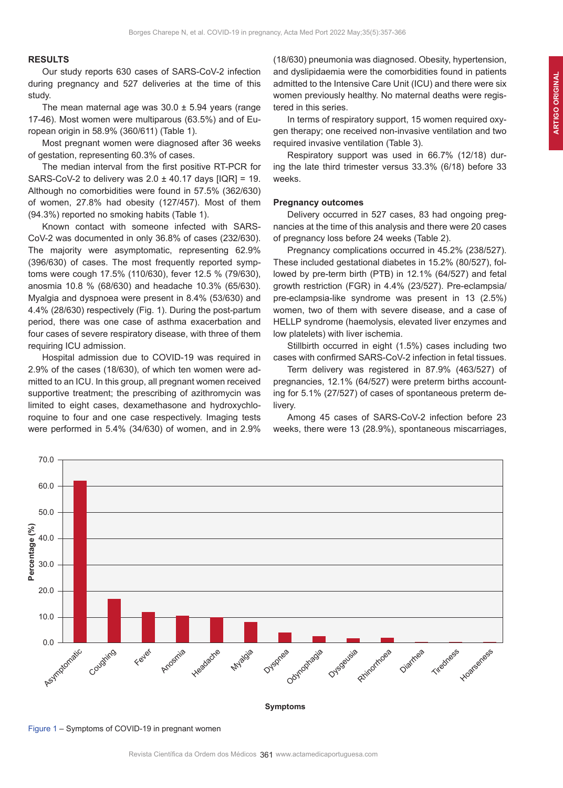## **RESULTS**

Our study reports 630 cases of SARS-CoV-2 infection during pregnancy and 527 deliveries at the time of this study.

The mean maternal age was  $30.0 \pm 5.94$  years (range 17-46). Most women were multiparous (63.5%) and of European origin in 58.9% (360/611) (Table 1).

Most pregnant women were diagnosed after 36 weeks of gestation, representing 60.3% of cases.

The median interval from the first positive RT-PCR for SARS-CoV-2 to delivery was  $2.0 \pm 40.17$  days  $[IQR] = 19$ . Although no comorbidities were found in 57.5% (362/630) of women, 27.8% had obesity (127/457). Most of them (94.3%) reported no smoking habits (Table 1).

Known contact with someone infected with SARS-CoV-2 was documented in only 36.8% of cases (232/630). The majority were asymptomatic, representing 62.9% (396/630) of cases. The most frequently reported symptoms were cough 17.5% (110/630), fever 12.5 % (79/630), anosmia 10.8 % (68/630) and headache 10.3% (65/630). Myalgia and dyspnoea were present in 8.4% (53/630) and 4.4% (28/630) respectively (Fig. 1). During the post-partum period, there was one case of asthma exacerbation and four cases of severe respiratory disease, with three of them requiring ICU admission.

Hospital admission due to COVID-19 was required in 2.9% of the cases (18/630), of which ten women were admitted to an ICU. In this group, all pregnant women received supportive treatment; the prescribing of azithromycin was limited to eight cases, dexamethasone and hydroxychloroquine to four and one case respectively. Imaging tests were performed in 5.4% (34/630) of women, and in 2.9% (18/630) pneumonia was diagnosed. Obesity, hypertension, and dyslipidaemia were the comorbidities found in patients admitted to the Intensive Care Unit (ICU) and there were six women previously healthy. No maternal deaths were registered in this series.

In terms of respiratory support, 15 women required oxygen therapy; one received non-invasive ventilation and two required invasive ventilation (Table 3).

Respiratory support was used in 66.7% (12/18) during the late third trimester versus 33.3% (6/18) before 33 weeks.

## **Pregnancy outcomes**

Delivery occurred in 527 cases, 83 had ongoing pregnancies at the time of this analysis and there were 20 cases of pregnancy loss before 24 weeks (Table 2).

Pregnancy complications occurred in 45.2% (238/527). These included gestational diabetes in 15.2% (80/527), followed by pre-term birth (PTB) in 12.1% (64/527) and fetal growth restriction (FGR) in 4.4% (23/527). Pre-eclampsia/ pre-eclampsia-like syndrome was present in 13 (2.5%) women, two of them with severe disease, and a case of HELLP syndrome (haemolysis, elevated liver enzymes and low platelets) with liver ischemia.

Stillbirth occurred in eight (1.5%) cases including two cases with confirmed SARS-CoV-2 infection in fetal tissues.

Term delivery was registered in 87.9% (463/527) of pregnancies, 12.1% (64/527) were preterm births accounting for 5.1% (27/527) of cases of spontaneous preterm delivery.

Among 45 cases of SARS-CoV-2 infection before 23 weeks, there were 13 (28.9%), spontaneous miscarriages,



Figure 1 – Symptoms of COVID-19 in pregnant women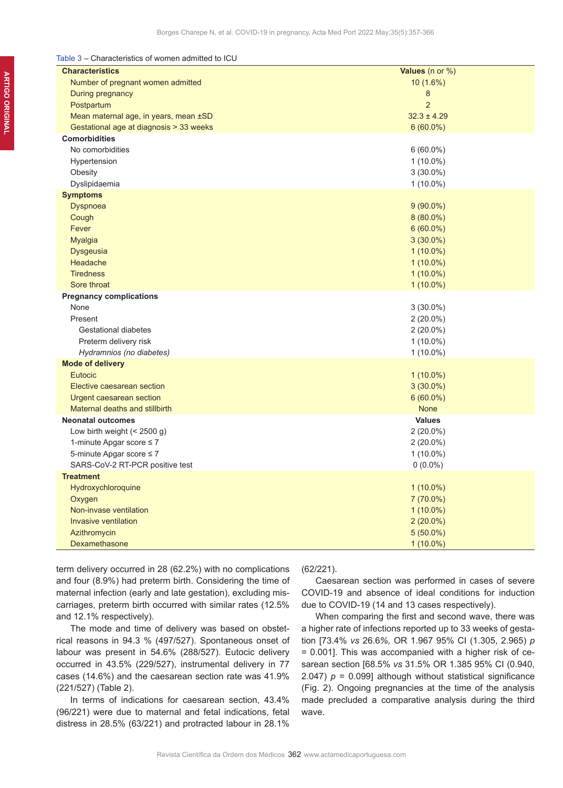Table 3 – Characteristics of women admitted to ICU

| <b>Characteristics</b>                  | <b>Values</b> (n or $\%$ ) |
|-----------------------------------------|----------------------------|
| Number of pregnant women admitted       | 10 (1.6%)                  |
| During pregnancy                        | 8                          |
| Postpartum                              | $\overline{2}$             |
| Mean maternal age, in years, mean ±SD   | $32.3 \pm 4.29$            |
| Gestational age at diagnosis > 33 weeks | $6(60.0\%)$                |
| <b>Comorbidities</b>                    |                            |
| No comorbidities                        | $6(60.0\%)$                |
| Hypertension                            | $1(10.0\%)$                |
| Obesity                                 | $3(30.0\%)$                |
| Dyslipidaemia                           | $1(10.0\%)$                |
| <b>Symptoms</b>                         |                            |
| Dyspnoea                                | $9(90.0\%)$                |
| Cough                                   | $8(80.0\%)$                |
| Fever                                   | $6(60.0\%)$                |
| <b>Myalgia</b>                          | $3(30.0\%)$                |
| <b>Dysgeusia</b>                        | $1(10.0\%)$                |
| Headache                                | $1(10.0\%)$                |
| <b>Tiredness</b>                        | $1(10.0\%)$                |
| Sore throat                             | $1(10.0\%)$                |
| <b>Pregnancy complications</b>          |                            |
| None                                    | $3(30.0\%)$                |
| Present                                 | $2(20.0\%)$                |
| Gestational diabetes                    | $2(20.0\%)$                |
| Preterm delivery risk                   | $1(10.0\%)$                |
| Hydramnios (no diabetes)                | $1(10.0\%)$                |
| <b>Mode of delivery</b>                 |                            |
| <b>Eutocic</b>                          | $1(10.0\%)$                |
| Elective caesarean section              | $3(30.0\%)$                |
| Urgent caesarean section                | $6(60.0\%)$                |
| Maternal deaths and stillbirth          | <b>None</b>                |
| <b>Neonatal outcomes</b>                | <b>Values</b>              |
| Low birth weight $(< 2500 g)$           | $2(20.0\%)$                |
| 1-minute Apgar score $\leq 7$           | $2(20.0\%)$                |
| 5-minute Apgar score $\leq 7$           | $1(10.0\%)$                |
| SARS-CoV-2 RT-PCR positive test         | $0(0.0\%)$                 |
| <b>Treatment</b>                        |                            |
| Hydroxychloroquine                      | $1(10.0\%)$                |
| Oxygen                                  | 7 (70.0%)                  |
| Non-invase ventilation                  | $1(10.0\%)$                |
| <b>Invasive ventilation</b>             | $2(20.0\%)$                |
| Azithromycin                            | $5(50.0\%)$                |
| Dexamethasone                           | $1(10.0\%)$                |

term delivery occurred in 28 (62.2%) with no complications and four (8.9%) had preterm birth. Considering the time of maternal infection (early and late gestation), excluding miscarriages, preterm birth occurred with similar rates (12.5% and 12.1% respectively).

The mode and time of delivery was based on obstetrical reasons in 94.3 % (497/527). Spontaneous onset of labour was present in 54.6% (288/527). Eutocic delivery occurred in 43.5% (229/527), instrumental delivery in 77 cases (14.6%) and the caesarean section rate was 41.9% (221/527) (Table 2).

In terms of indications for caesarean section, 43.4% (96/221) were due to maternal and fetal indications, fetal distress in 28.5% (63/221) and protracted labour in 28.1%

(62/221).

Caesarean section was performed in cases of severe COVID-19 and absence of ideal conditions for induction due to COVID-19 (14 and 13 cases respectively).

When comparing the first and second wave, there was a higher rate of infections reported up to 33 weeks of gestation [73.4% *vs* 26.6*%,* OR 1.967 95% CI (1.305, 2.965) *p*  = 0.001]. This was accompanied with a higher risk of cesarean section [68.5% *vs* 31.5% OR 1.385 95% CI (0.940, 2.047)  $p = 0.099$ ] although without statistical significance (Fig. 2). Ongoing pregnancies at the time of the analysis made precluded a comparative analysis during the third wave.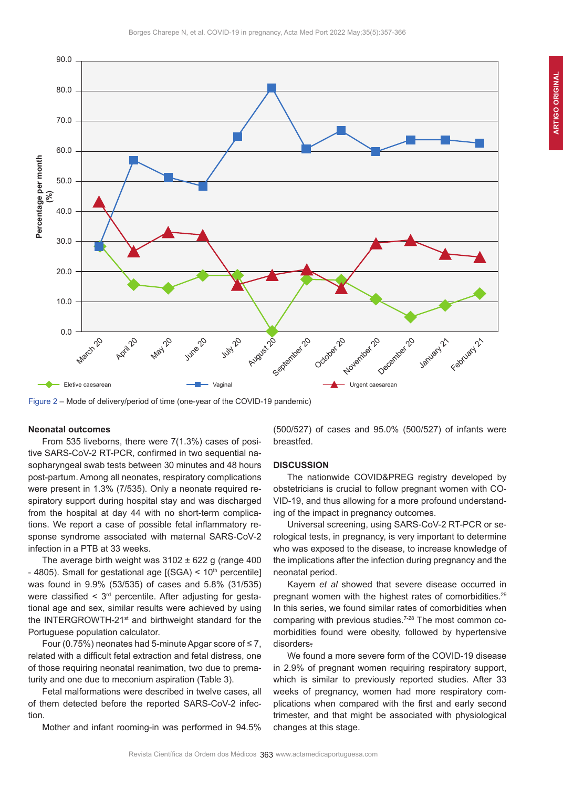

Figure 2 – Mode of delivery/period of time (one-year of the COVID-19 pandemic)

# **Neonatal outcomes**

From 535 liveborns, there were 7(1.3%) cases of positive SARS-CoV-2 RT-PCR, confirmed in two sequential nasopharyngeal swab tests between 30 minutes and 48 hours post-partum. Among all neonates, respiratory complications were present in 1.3% (7/535). Only a neonate required respiratory support during hospital stay and was discharged from the hospital at day 44 with no short-term complications. We report a case of possible fetal inflammatory response syndrome associated with maternal SARS-CoV-2 infection in a PTB at 33 weeks.

The average birth weight was  $3102 \pm 622$  g (range 400 - 4805). Small for gestational age  $[(SGA) < 10<sup>th</sup>]$  percentile] was found in 9.9% (53/535) of cases and 5.8% (31/535) were classified  $\leq 3^{rd}$  percentile. After adjusting for gestational age and sex, similar results were achieved by using the INTERGROWTH-21st and birthweight standard for the Portuguese population calculator.

Four (0.75%) neonates had 5-minute Apgar score of  $\leq$  7, related with a difficult fetal extraction and fetal distress, one of those requiring neonatal reanimation, two due to prematurity and one due to meconium aspiration (Table 3).

Fetal malformations were described in twelve cases, all of them detected before the reported SARS-CoV-2 infection.

Mother and infant rooming-in was performed in 94.5%

(500/527) of cases and 95.0% (500/527) of infants were breastfed.

#### **DISCUSSION**

The nationwide COVID&PREG registry developed by obstetricians is crucial to follow pregnant women with CO-VID-19, and thus allowing for a more profound understanding of the impact in pregnancy outcomes.

Universal screening, using SARS-CoV-2 RT-PCR or serological tests, in pregnancy, is very important to determine who was exposed to the disease, to increase knowledge of the implications after the infection during pregnancy and the neonatal period.

Kayem *et al* showed that severe disease occurred in pregnant women with the highest rates of comorbidities.<sup>29</sup> In this series, we found similar rates of comorbidities when comparing with previous studies.<sup>7-28</sup> The most common comorbidities found were obesity, followed by hypertensive disorders.

We found a more severe form of the COVID-19 disease in 2.9% of pregnant women requiring respiratory support, which is similar to previously reported studies. After 33 weeks of pregnancy, women had more respiratory complications when compared with the first and early second trimester, and that might be associated with physiological changes at this stage.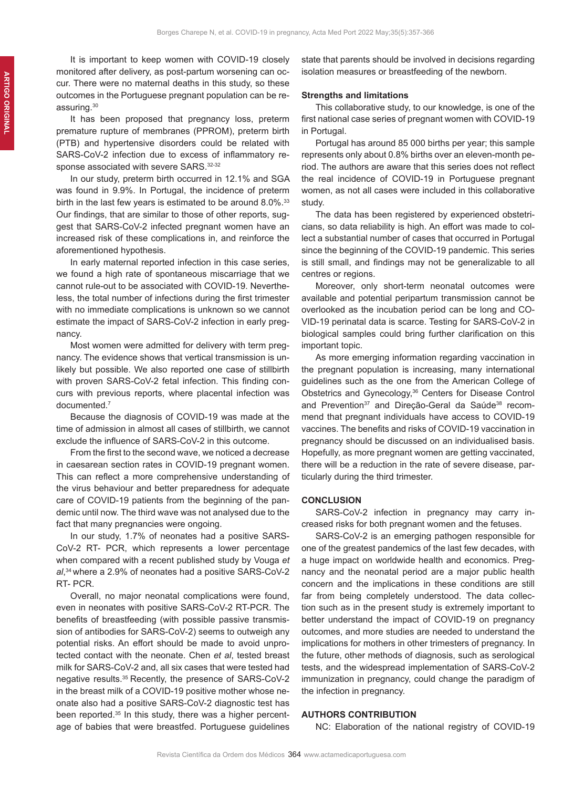It is important to keep women with COVID-19 closely monitored after delivery, as post-partum worsening can occur. There were no maternal deaths in this study, so these outcomes in the Portuguese pregnant population can be reassuring.<sup>30</sup>

It has been proposed that pregnancy loss, preterm premature rupture of membranes (PPROM), preterm birth (PTB) and hypertensive disorders could be related with SARS-CoV-2 infection due to excess of inflammatory response associated with severe SARS.<sup>32-32</sup>

In our study, preterm birth occurred in 12.1% and SGA was found in 9.9%. In Portugal, the incidence of preterm birth in the last few years is estimated to be around 8.0%.<sup>33</sup> Our findings, that are similar to those of other reports, suggest that SARS-CoV-2 infected pregnant women have an increased risk of these complications in, and reinforce the aforementioned hypothesis.

In early maternal reported infection in this case series, we found a high rate of spontaneous miscarriage that we cannot rule-out to be associated with COVID-19. Nevertheless, the total number of infections during the first trimester with no immediate complications is unknown so we cannot estimate the impact of SARS-CoV-2 infection in early pregnancy.

Most women were admitted for delivery with term pregnancy. The evidence shows that vertical transmission is unlikely but possible. We also reported one case of stillbirth with proven SARS-CoV-2 fetal infection. This finding concurs with previous reports, where placental infection was documented.<sup>7</sup>

Because the diagnosis of COVID-19 was made at the time of admission in almost all cases of stillbirth, we cannot exclude the influence of SARS-CoV-2 in this outcome.

From the first to the second wave, we noticed a decrease in caesarean section rates in COVID-19 pregnant women. This can reflect a more comprehensive understanding of the virus behaviour and better preparedness for adequate care of COVID-19 patients from the beginning of the pandemic until now. The third wave was not analysed due to the fact that many pregnancies were ongoing.

In our study, 1.7% of neonates had a positive SARS-CoV-2 RT- PCR, which represents a lower percentage when compared with a recent published study by Vouga *et al*, <sup>34</sup>where a 2.9% of neonates had a positive SARS-CoV-2 RT- PCR.

Overall, no major neonatal complications were found, even in neonates with positive SARS-CoV-2 RT-PCR. The benefits of breastfeeding (with possible passive transmission of antibodies for SARS-CoV-2) seems to outweigh any potential risks. An effort should be made to avoid unprotected contact with the neonate. Chen *et al*, tested breast milk for SARS-CoV-2 and, all six cases that were tested had negative results.<sup>35</sup> Recently, the presence of SARS-CoV-2 in the breast milk of a COVID-19 positive mother whose neonate also had a positive SARS-CoV-2 diagnostic test has been reported.<sup>35</sup> In this study, there was a higher percentage of babies that were breastfed. Portuguese guidelines state that parents should be involved in decisions regarding isolation measures or breastfeeding of the newborn.

## **Strengths and limitations**

This collaborative study, to our knowledge, is one of the first national case series of pregnant women with COVID-19 in Portugal.

Portugal has around 85 000 births per year; this sample represents only about 0.8% births over an eleven-month period. The authors are aware that this series does not reflect the real incidence of COVID-19 in Portuguese pregnant women, as not all cases were included in this collaborative study.

The data has been registered by experienced obstetricians, so data reliability is high. An effort was made to collect a substantial number of cases that occurred in Portugal since the beginning of the COVID-19 pandemic. This series is still small, and findings may not be generalizable to all centres or regions.

Moreover, only short-term neonatal outcomes were available and potential peripartum transmission cannot be overlooked as the incubation period can be long and CO-VID-19 perinatal data is scarce. Testing for SARS-CoV-2 in biological samples could bring further clarification on this important topic.

As more emerging information regarding vaccination in the pregnant population is increasing, many international guidelines such as the one from the American College of Obstetrics and Gynecology,<sup>36</sup> Centers for Disease Control and Prevention<sup>37</sup> and Direção-Geral da Saúde<sup>38</sup> recommend that pregnant individuals have access to COVID-19 vaccines. The benefits and risks of COVID-19 vaccination in pregnancy should be discussed on an individualised basis. Hopefully, as more pregnant women are getting vaccinated, there will be a reduction in the rate of severe disease, particularly during the third trimester.

## **CONCLUSION**

SARS-CoV-2 infection in pregnancy may carry increased risks for both pregnant women and the fetuses.

SARS-CoV-2 is an emerging pathogen responsible for one of the greatest pandemics of the last few decades, with a huge impact on worldwide health and economics. Pregnancy and the neonatal period are a major public health concern and the implications in these conditions are still far from being completely understood. The data collection such as in the present study is extremely important to better understand the impact of COVID-19 on pregnancy outcomes, and more studies are needed to understand the implications for mothers in other trimesters of pregnancy. In the future, other methods of diagnosis, such as serological tests, and the widespread implementation of SARS-CoV-2 immunization in pregnancy, could change the paradigm of the infection in pregnancy.

# **AUTHORS CONTRIBUTION**

NC: Elaboration of the national registry of COVID-19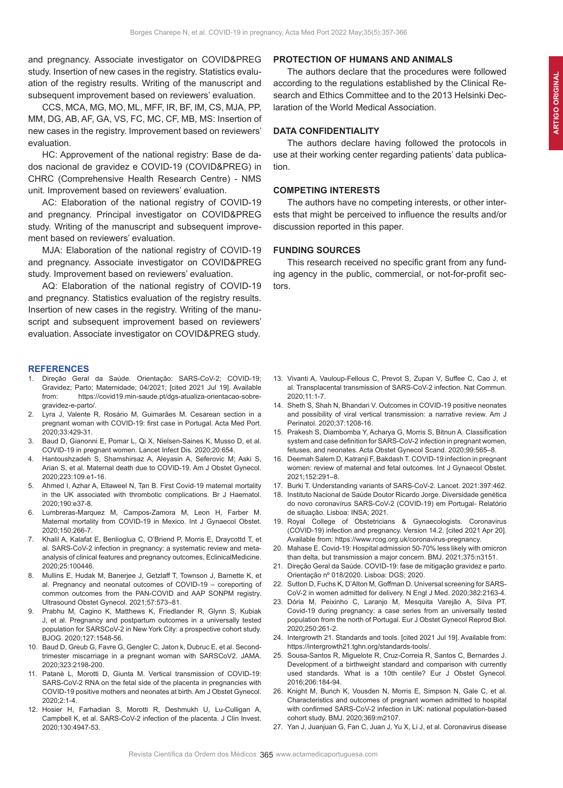and pregnancy. Associate investigator on COVID&PREG study. Insertion of new cases in the registry. Statistics evaluation of the registry results. Writing of the manuscript and subsequent improvement based on reviewers' evaluation.

CCS, MCA, MG, MO, ML, MFF, IR, BF, IM, CS, MJA, PP, MM, DG, AB, AF, GA, VS, FC, MC, CF, MB, MS: Insertion of new cases in the registry. Improvement based on reviewers' evaluation.

HC: Approvement of the national registry: Base de dados nacional de gravidez e COVID-19 (COVID&PREG) in CHRC (Comprehensive Health Research Centre) - NMS unit. Improvement based on reviewers' evaluation.

AC: Elaboration of the national registry of COVID-19 and pregnancy. Principal investigator on COVID&PREG study. Writing of the manuscript and subsequent improvement based on reviewers' evaluation.

MJA: Elaboration of the national registry of COVID-19 and pregnancy. Associate investigator on COVID&PREG study. Improvement based on reviewers' evaluation.

AQ: Elaboration of the national registry of COVID-19 and pregnancy. Statistics evaluation of the registry results. Insertion of new cases in the registry. Writing of the manuscript and subsequent improvement based on reviewers' evaluation. Associate investigator on COVID&PREG study.

## **REFERENCES**

- 1. Direção Geral da Saúde. Orientação: SARS-CoV-2; COVID-19; Gravidez; Parto; Maternidade; 04/2021; [cited 2021 Jul 19]. Available from: https://covid19.min-saude.pt/dgs-atualiza-orientacao-sobregravidez-e-parto/.
- 2. Lyra J, Valente R, Rosário M, Guimarães M. Cesarean section in a pregnant woman with COVID-19: first case in Portugal. Acta Med Port. 2020;33:429-31.
- 3. Baud D, Gianonni E, Pomar L, Qi X, Nielsen-Saines K, Musso D, et al. COVID-19 in pregnant women. Lancet Infect Dis. 2020;20:654.
- 4. Hantoushzadeh S, Shamshirsaz A, Aleyasin A, Seferovic M; Aski S, Arian S, et al. Maternal death due to COVID-19. Am J Obstet Gynecol. 2020;223:109.e1-16.
- 5. Ahmed I, Azhar A, Eltaweel N, Tan B. First Covid-19 maternal mortality in the UK associated with thrombotic complications. Br J Haematol. 2020;190:e37-8.
- 6. Lumbreras-Marquez M, Campos-Zamora M, Leon H, Farber M. Maternal mortality from COVID-19 in Mexico. Int J Gynaecol Obstet. 2020;150:266-7.
- 7. Khalil A, Kalafat E, Benlioglua C, O'Briend P, Morris E, Draycottd T, et al. SARS-CoV-2 infection in pregnancy: a systematic review and metaanalysis of clinical features and pregnancy outcomes, EclinicalMedicine. 2020;25:100446.
- 8. Mullins E, Hudak M, Banerjee J, Getzlaff T, Townson J, Barnette K, et al. Pregnancy and neonatal outcomes of COVID-19 – coreporting of common outcomes from the PAN-COVID and AAP SONPM registry. Ultrasound Obstet Gynecol. 2021;57:573–81.
- 9. Prabhu M, Cagino K, Matthews K, Friedlander R, Glynn S, Kubiak J, et al. Pregnancy and postpartum outcomes in a universally tested population for SARSCoV-2 in New York City: a prospective cohort study. BJOG. 2020;127:1548-56.
- 10. Baud D, Greub G, Favre G, Gengler C, Jaton k, Dubruc E, et al. Secondtrimester miscarriage in a pregnant woman with SARSCoV2. JAMA. 2020;323:2198-200.
- 11. Patanè L, Morotti D, Giunta M. Vertical transmission of COVID-19: SARS-CoV-2 RNA on the fetal side of the placenta in pregnancies with COVID-19 positive mothers and neonates at birth. Am J Obstet Gynecol. 2020;2:1-4.
- 12. Hosier H, Farhadian S, Morotti R, Deshmukh U, Lu-Culligan A, Campbell K, et al. SARS-CoV-2 infection of the placenta. J Clin Invest. 2020;130:4947-53.

# **PROTECTION OF HUMANS AND ANIMALS**

The authors declare that the procedures were followed according to the regulations established by the Clinical Research and Ethics Committee and to the 2013 Helsinki Declaration of the World Medical Association.

# **DATA CONFIDENTIALITY**

The authors declare having followed the protocols in use at their working center regarding patients' data publication.

## **COMPETING INTERESTS**

The authors have no competing interests, or other interests that might be perceived to influence the results and/or discussion reported in this paper.

# **FUNDING SOURCES**

This research received no specific grant from any funding agency in the public, commercial, or not-for-profit sectors.

- 13. Vivanti A, Vauloup-Fellous C, Prevot S, Zupan V, Suffee C, Cao J, et al. Transplacental transmission of SARS-CoV-2 infection. Nat Commun. 2020;11:1-7.
- 14. Sheth S, Shah N, Bhandari V. Outcomes in COVID-19 positive neonates and possibility of viral vertical transmission: a narrative review. Am J Perinatol. 2020;37:1208-16.
- 15. Prakesh S, Diambomba Y, Acharya G, Morris S, Bitnun A. Classification system and case definition for SARS-CoV-2 infection in pregnant women, fetuses, and neonates. Acta Obstet Gynecol Scand. 2020;99:565–8.
- 16. Deemah Salem D, Katranji F, Bakdash T. COVID-19 infection in pregnant women: review of maternal and fetal outcomes. Int J Gynaecol Obstet. 2021;152:291–8.
- 17. Burki T. Understanding variants of SARS-CoV-2. Lancet. 2021:397:462.
- 18. Instituto Nacional de Saúde Doutor Ricardo Jorge. Diversidade genética do novo coronavírus SARS-CoV-2 (COVID-19) em Portugal- Relatório de situação. Lisboa: INSA; 2021.
- 19. Royal College of Obstetricians & Gynaecologists. Coronavirus (COVID-19) infection and pregnancy. Version 14.2. [cited 2021 Apr 20]. Available from: https://www.rcog.org.uk/coronavirus-pregnancy.
- 20. Mahase E. Covid-19: Hospital admission 50-70% less likely with omicron than delta, but transmission a major concern. BMJ. 2021;375:n3151.
- 21. Direção Geral da Saúde. COVID-19: fase de mitigação gravidez e parto. Orientação nº 018/2020. Lisboa: DGS; 2020.
- 22. Sutton D, Fuchs K, D'Alton M, Goffman D. Universal screening for SARS-CoV-2 in women admitted for delivery. N Engl J Med. 2020;382:2163-4.
- 23. Dória M, Peixinho C, Laranjo M, Mesquita Varejão A, Silva PT. Covid-19 during pregnancy: a case series from an universally tested population from the north of Portugal. Eur J Obstet Gynecol Reprod Biol. 2020;250:261-2.
- 24. Intergrowth 21. Standards and tools. [cited 2021 Jul 19]. Available from: https://intergrowth21.tghn.org/standards-tools/.
- 25. Sousa-Santos R, Miguelote R, Cruz-Correia R, Santos C, Bernardes J. Development of a birthweight standard and comparison with currently used standards. What is a 10th centile? Eur J Obstet Gynecol. 2016;206:184-94.
- 26. Knight M, Bunch K, Vousden N, Morris E, Simpson N, Gale C, et al. Characteristics and outcomes of pregnant women admitted to hospital with confirmed SARS-CoV-2 infection in UK: national population-based cohort study. BMJ. 2020;369:m2107.
- 27. Yan J, Juanjuan G, Fan C, Juan J, Yu X, Li J, et al. Coronavirus disease